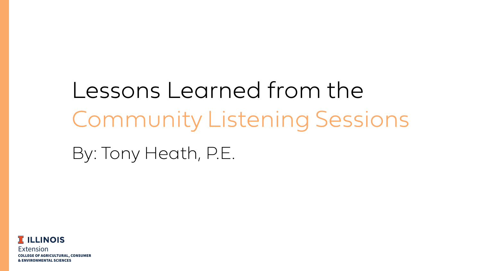

## Lessons Learned from the Community Listening Sessions By: Tony Heath, P.E.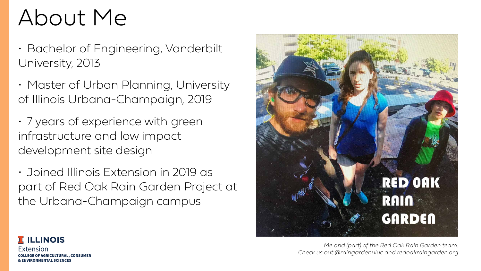



#### About Me

- Bachelor of Engineering, Vanderbilt University, 2013
- Master of Urban Planning, University of Illinois Urbana-Champaign, 2019
- 7 years of experience with green infrastructure and low impact development site design
- Joined Illinois Extension in 2019 as part of Red Oak Rain Garden Project at the Urbana-Champaign campus

*Me and (part) of the Red Oak Rain Garden team. Check us out @raingardenuiuc and redoakraingarden.org*



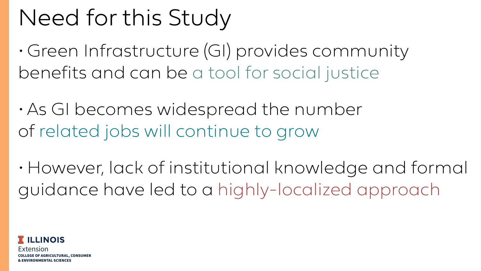



#### Need for this Study

• Green Infrastructure (GI) provides community benefits and can be a tool for social justice

• As GI becomes widespread the number of related jobs will continue to grow

• However, lack of institutional knowledge and formal guidance have led to a highly-localized approach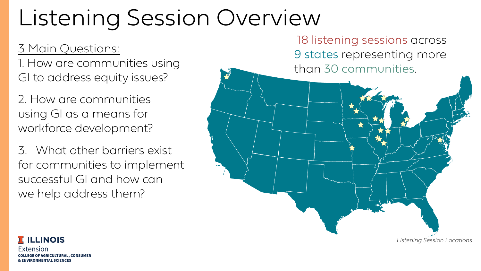

#### Listening Session Overview

18 listening sessions across 9 states representing more than 30 communities.

3 Main Questions: 1. How are communities using GI to address equity issues?

2. How are communities using GI as a means for workforce development?

3. What other barriers exist for communities to implement successful GI and how can we help address them?





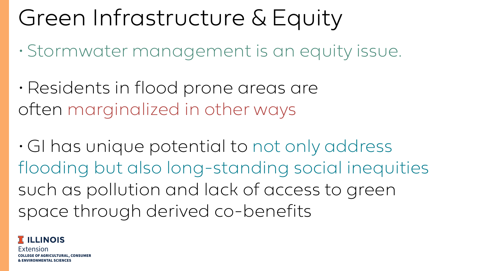Extension COLLEGE OF AGRICULTURAL, CONSUMER & ENVIRONMENTAL SCIENCES

#### Green Infrastructure & Equity

- Stormwater management is an equity issue.
- Residents in flood prone areas are often marginalized in other ways

• GI has unique potential to not only address flooding but also long-standing social inequities such as pollution and lack of access to green space through derived co-benefits

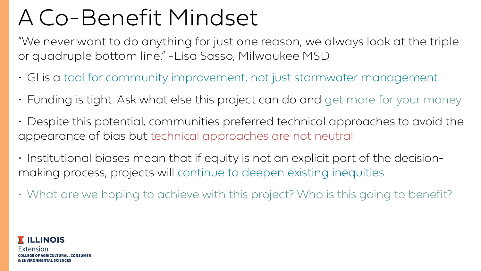

#### A Co-Benefit Mindset

- GI is a tool for community improvement, not just stormwater management
- Funding is tight. Ask what else this project can do and get more for your money
- Despite this potential, communities preferred technical approaches to avoid the appearance of bias but technical approaches are not neutral
- Institutional biases mean that if equity is not an explicit part of the decisionmaking process, projects will continue to deepen existing inequities
- What are we hoping to achieve with this project? Who is this going to benefit?

"We never want to do anything for just one reason, we always look at the triple







or quadruple bottom line." -Lisa Sasso, Milwaukee MSD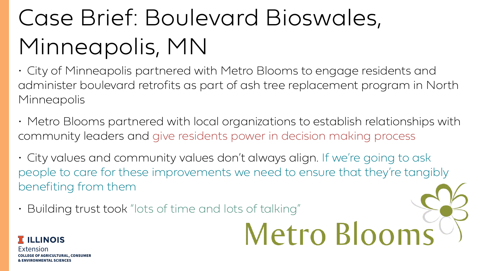

## Case Brief: Boulevard Bioswales, Minneapolis, MN

• City of Minneapolis partnered with Metro Blooms to engage residents and administer boulevard retrofits as part of ash tree replacement program in North Minneapolis

• Metro Blooms partnered with local organizations to establish relationships with

• City values and community values don't always align. If we're going to ask people to care for these improvements we need to ensure that they're tangibly

# Metro Blooms<sup>()</sup>



- community leaders and give residents power in decision making process
- benefiting from them
- Building trust took "lots of time and lots of talking"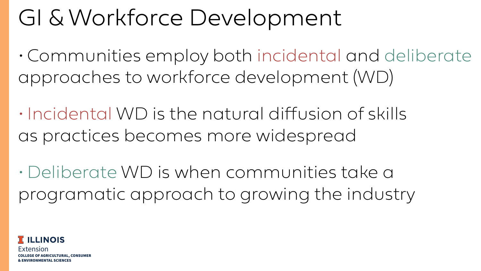



#### GI & Workforce Development

•Communities employ both incidental and deliberate approaches to workforce development (WD)

• Incidental WD is the natural diffusion of skills as practices becomes more widespread

• Deliberate WD is when communities take a programatic approach to growing the industry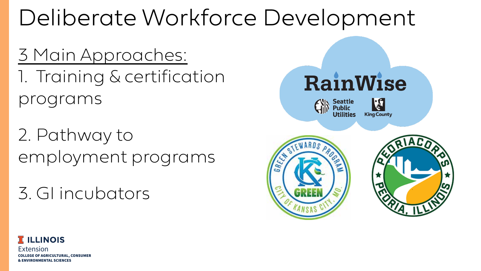

#### RainWise









#### Deliberate Workforce Development

3 Main Approaches: 1. Training & certification programs

2. Pathway to employment programs

3. GI incubators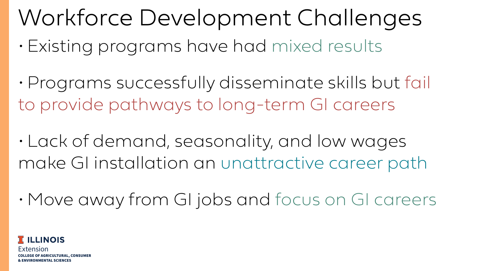

# Workforce Development Challenges

- Existing programs have had mixed results
- •Programs successfully disseminate skills but fail to provide pathways to long-term GI careers
- Lack of demand, seasonality, and low wages make GI installation an unattractive career path
- 

• Move away from GI jobs and focus on GI careers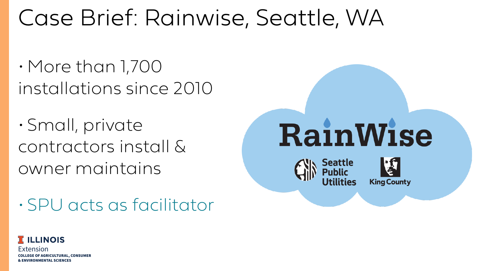

#### **RainWise** Seattle

**King County** 



#### Case Brief: Rainwise, Seattle, WA

• More than 1,700 installations since 2010

• Small, private contractors install & owner maintains

• SPU acts as facilitator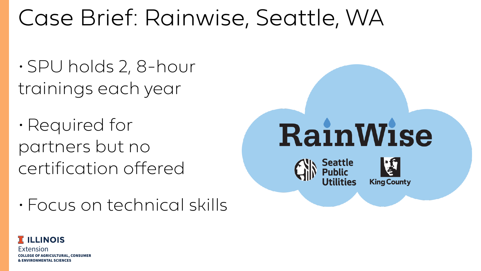

## **RainWise Seattle**

**King County** 



#### Case Brief: Rainwise, Seattle, WA

• SPU holds 2, 8-hour trainings each year

•Required for partners but no certification offered

• Focus on technical skills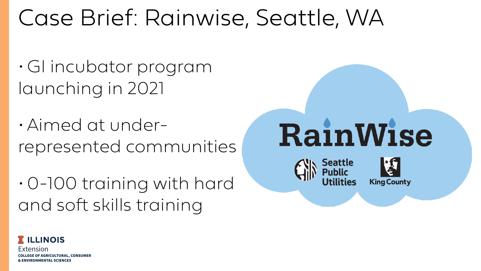

#### **RainWise Seattle King County**



#### Case Brief: Rainwise, Seattle, WA

- GI incubator program launching in 2021
- Aimed at underrepresented communities

•0-100 training with hard and soft skills training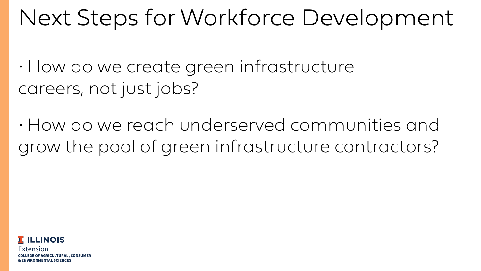

#### Next Steps for Workforce Development

• How do we create green infrastructure careers, not just jobs?

• How do we reach underserved communities and grow the pool of green infrastructure contractors?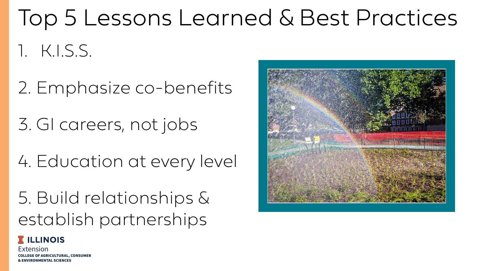Extension COLLEGE OF AGRICULTURAL, CONSUMER & ENVIRONMENTAL SCIENCES





#### Top 5 Lessons Learned & Best Practices 1. K.I.S.S.

2. Emphasize co-benefits

3. GI careers, not jobs

4. Education at every level

5. Build relationships & establish partnerships

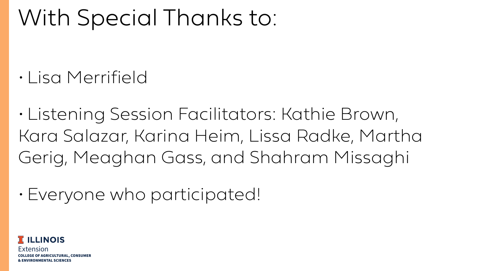

#### With Special Thanks to:

• Lisa Merrifield

• Listening Session Facilitators: Kathie Brown, Kara Salazar, Karina Heim, Lissa Radke, Martha Gerig, Meaghan Gass, and Shahram Missaghi

• Everyone who participated!